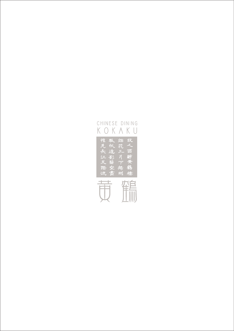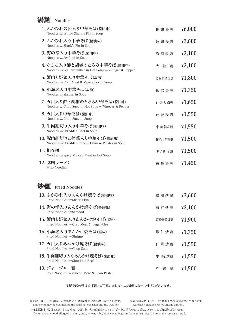## 湯麵 Noodles

| 1. ふかひれの姿入り中華そば(醬油味)<br>Noodles w/Whole Shark's Fin in Soup                        | 排翅湯麵        | 46,000 |
|------------------------------------------------------------------------------------|-------------|--------|
| 2. ふかひれ入り中華そば(醬油味)<br>Noodles w/Shark's Fin in Soup                                | 烩翅湯麵        | ¥3,600 |
| 3. 海の幸入り中華そば(醬油味)<br>Noodles w/Seafood in Soup                                     | 海鮮湯麵        | 42,100 |
| 4. なまこ入り酢と胡椒のとろみ中華そば(醬油味)<br>Noodles w/Sea Cucumber in Hot Soup w/Vinegar & Pepper | 大滷<br>麵     | 42,100 |
| 5. 蟹肉と野菜入り中華そば(塩味)<br>Noodles w/Crab Meat & Vegetables in Soup                     | 蟹粉素菜湯麵      | 41,800 |
| 6. 小海老入り中華そば(塩味)<br>Noodles w/Shrimp in Soup                                       | 蝦仁湯麵        | 41,750 |
| 7. 五目入り酢と胡椒のとろみ中華そば(醬油味)<br>Noodles w/Chop Suey in Hot Soup w/Vinegar & Pepper     | 什景大滷麵       | ¥1,650 |
| 8. 五目入り中華そば(醬油味)<br>Noodles w/Chop Suey in Soup                                    | 什景湯麵        | 41,550 |
| 9. 牛肉細切り入り中華そば(醬油味)<br>Noodles w/Shredded Beef in Soup                             | 牛肉糸湯麵       | 41,550 |
| 10. 豚肉細切りと搾菜入り中華そば(醬油味)<br>Noodles w/Shredded Pork & Chinese Pickles in Soup       | 榨菜肉糸湯麵      | 41,500 |
| 11. 担々麵<br>Noodles w/Spicy Minced Meat in Hot Soup                                 | 少子担々麵       | 41,500 |
| 12. 味噌ラーメン<br>Miso Noodles                                                         | 黄醬湯麵        | 41,450 |
| 炒麵<br><b>Fried Noodles</b>                                                         |             |        |
| 13. ふかひれ入りあんかけ焼そば(醬油味)<br>Fried Noodles w/Shark's Fin                              | 烩翅炒麵        | ¥3,600 |
| 14. 海の幸入りあんかけ焼そば(醬油味)<br>Fried Noodles w/Seafood                                   | 海鮮炒麵        | 42,100 |
| 15. 蟹肉と野菜入りあんかけ焼そば(塩味)<br>Fried Noodles w/Crab Meat & Vegetables                   | 蟹粉素菜炒麵      | 41,900 |
| 16. 小海老入りあんかけ焼そば(塩味)<br>Fried Noodles w/Shrimp                                     | 蝦仁炒麵        | 41,750 |
| 17. 五目入りあんかけ焼そば(醬油味)<br>Fried Noodles w/Chop Suey                                  | 什景炒麵        | 41,550 |
| 18. 牛肉細切り入りあんかけ焼そば(醬油味)<br>Fried Noodles w/Shredded Beef                           | 牛肉糸炒麵       | 41,550 |
| 19. ジャージャー麵<br>Cold Noodles w/Minced Meat & Bean Paste                             | 炸<br>醬<br>麵 | 41,500 |

## \*焼そばの麺は揚げ麺もご用意いたします。お気軽にお申し付けくださいませ。

※上記メニューは、季節・天候等により内容が変更になる場合がございます。 ※表示料金には、サービス料および税金が含まれております。 This menu may be changed by the seasonal occasion and the weather.

All prices include service charge and tax.

※特定原材料7品目 (えび、かに、小麦、そば、卵、乳、落花生)のアレルギーをお持ちのお客様は、スタッフにご確認くださいませ。 If you have any food allergies (shrimp, crab, wheat, soba/buckwheat, eggs, milk, peanuts), please inform the restaurant staff.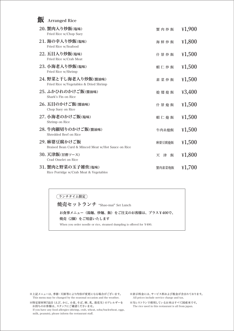| 飯 | <b>Arranged Rice</b>                                                |             |        |
|---|---------------------------------------------------------------------|-------------|--------|
|   | 20. 蟹肉入り炒飯(塩味)<br>Fried Rice w/Chop Suey                            | 蟹肉炒飯        | 41,900 |
|   | 21. 海の幸入り炒飯(塩味)<br>Fried Rice w/Seafood                             | 海鮮炒飯        | 41,800 |
|   | 22. 五目入り炒飯(塩味)<br>Fried Rice w/Crab Meat                            | 什景炒飯        | 41,500 |
|   | 23. 小海老入り炒飯(塩味)<br>Fried Rice w/Shrimp                              | 蝦仁炒飯        | 41,500 |
|   | 24. 野菜と干し海老入り炒飯(醬油味)<br>Fried Rice w/Vegetables & Dried Shrimp      | 素菜炒飯        | 41,500 |
|   | 25. ふかひれのかけご飯(醬油味)<br>Shark's Fin on Rice                           | 烩翅烩飯        | ¥3,400 |
|   | 26. 五目のかけご飯(醬油味)<br>Chop Suey on Rice                               | 什景烩飯        | 41,500 |
|   | 27. 小海老のかけご飯(塩味)<br>Shrimp on Rice                                  | 蝦仁烩飯        | 41,500 |
|   | 28. 牛肉細切りのかけご飯(醬油味)<br>Shredded Beef on Rice                        | 牛肉糸烩飯       | 41,500 |
|   | 29. 麻婆豆腐かけご飯<br>Braised Bean Curd & Minced Meat w/Hot Sauce on Rice | 麻婆豆腐烩飯      | 41,500 |
|   | 30. 天津飯(甘酢ソース)<br>Crad Omelet on Rice                               | 天<br>飯<br>津 | 41,800 |
|   | 31. 蟹肉と野菜の玉子雑炊(塩味)<br>Rice Porridge w/Crab Meat & Vegetables        | 蟹肉素菜炮飯      | ¥1,700 |

ランチタイム限定

焼売セットランチ "Shao-mai" Set Lunch

お食事メニュー(湯麺、炒麺、飯)をご注文のお客様は、プラス¥400で、 焼売 (2個) をご用意いたします When you order noodle or rice, steamed dumpling is offered for ¥400.

※上記メニューは、季節·天候等により内容が変更になる場合がございます。 This menu may be changed by the seasonal occasion and the weather.

※特定原材料7品目(えび、かに、小麦、そば、卵、乳、落花生) のアレルギーを お持ちのお客様は、スタッフにご確認くださいませ。

If you have any food allergies (shrimp, crab, wheat, soba/buckwheat, eggs, milk, peanuts), please inform the restaurant staff.

※表示料金には、サービス料および税金が含まれております。 All prices include service charge and tax.

※当レストランで使用しているお米はすべて国産米です。 The rice used in this restaurant is all from japan.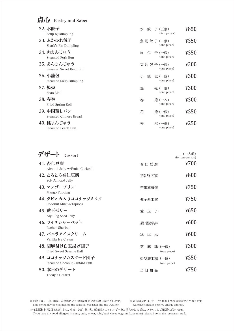| 点心 | Pastry and Sweet                           |             |                         |      |
|----|--------------------------------------------|-------------|-------------------------|------|
|    | <b>32. 水餃子</b><br>Soup w/Dumpling          | 餃<br>水      | 子 (五個)<br>(five pieces) | ¥850 |
|    | 33. ふかひれ餃子<br>Shark's Fin Dumpling         | 魚 翅 餃 子(一個) | (one piece)             | ¥350 |
|    | 34. 肉まんじゅう<br><b>Steamed Pork Bun</b>      | 肉           | 包子(一個)<br>(one piece)   | ¥350 |
|    | 35. あんまんじゅう<br>Steamed Sweet Bean Bun      | 豆沙包子 (一個)   | (one piece)             | ¥300 |
|    | 36. 小籠包<br><b>Steamed Soup Dumpling</b>    | 籠<br>小      | 包(一個)<br>(one piece)    | ¥300 |
|    | 37. 焼売<br>Shao-Mai                         | 焼           | 壳 (一個)<br>(one piece)   | ¥300 |
|    | 38. 春巻<br>Fried Spring Roll                | 春           | 捲 (一本)<br>(one piece)   | ¥300 |
|    | <b>39. 中国蒸しパン</b><br>Steamed Chinese Bread | 花           | 捲 (一個)<br>(one piece)   | ¥250 |
|    | 40. 桃まんじゅう<br>Steamed Peach Bun            | 寿           | 桃(一個)<br>(one piece)    | ¥250 |

| <b>Dessert</b>                                    |                                | (一人前)<br>(for one person) |
|---------------------------------------------------|--------------------------------|---------------------------|
| <b>41. 杏仁豆腐</b><br>Almond Jelly w/Fruits Cocktail | 杏仁豆腐                           | ¥700                      |
| <b>42. とろとろ杏仁豆腐</b><br>Soft Almond Jelly          | 正宗杏仁豆腐                         | ¥800                      |
| 43. マンゴープリン<br>Mango Pudding                      | 芒果凍布甸                          | $\frac{1}{2}$ 750         |
| 44. タピオカ入りココナッツミルク<br>Coconut Milk w/Tapioca      | 椰子西米露                          | $\frac{1}{2}$ 750         |
| 45. 愛玉ゼリー<br>Aiyu Fig Seed Jelly                  | 玉<br>愛<br>子                    | $\frac{1}{2}650$          |
| 46. ライチシャーベット<br>Lychee Sherbet                   | 果汁露冰淇淋                         | ¥600                      |
| 47. バニラアイスクリーム<br>Vanilla Ice Cream               | 淇<br>Ж<br>淋                    | ¥600                      |
| 48. 胡麻付け白玉揚げ団子<br>Fried Sweet Sesame Ball         | 芝<br>球(一個)<br>麻<br>(one piece) | ¥300                      |
| 49. ココナッツカスタード団子<br>Steamed Coconut Custard Bun   | 奶皇濡米糍(一個)<br>(one piece)       | $\frac{4250}{50}$         |
| 50. 本日のデザート<br>Today's Dessert                    | 当日甜品                           | 4750                      |

※上記メニューは、季節・天候等により内容が変更になる場合がございます。 This menu may be changed by the seasonal occasion and the weather.

※表示料金には、サービス料および税金が含まれております。 All prices include service charge and tax.

※特定原材料7品目 (えび、かに、小麦、そば、卵、乳、落花生) のアレルギーをお持ちのお客様は、スタッフにご確認くださいませ。 If you have any food allergies (shrimp, crab, wheat, soba/buckwheat, eggs, milk, peanuts), please inform the restaurant staff.